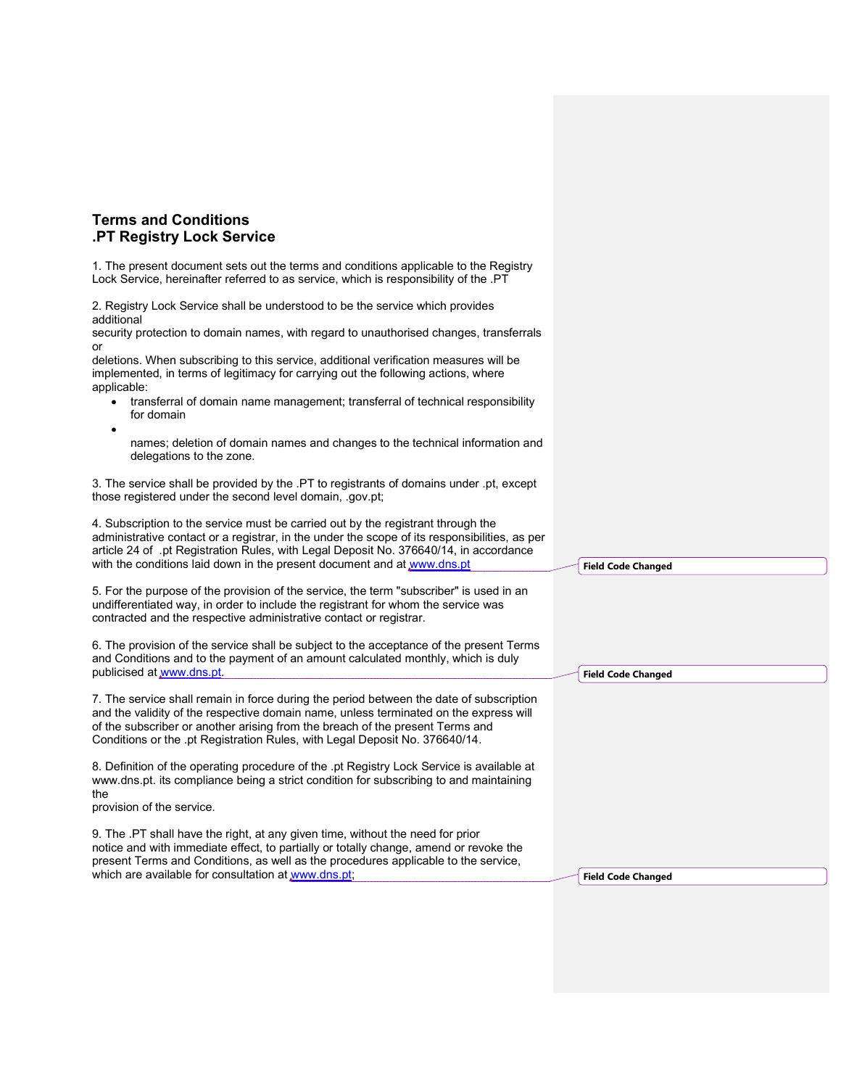## Terms and Conditions .PT Registry Lock Service

1. The present document sets out the terms and conditions applicable to the Registry Lock Service, hereinafter referred to as service, which is responsibility of the .PT

2. Registry Lock Service shall be understood to be the service which provides additional

security protection to domain names, with regard to unauthorised changes, transferrals or

deletions. When subscribing to this service, additional verification measures will be implemented, in terms of legitimacy for carrying out the following actions, where applicable:

 transferral of domain name management; transferral of technical responsibility for domain

 $\bullet$ 

names; deletion of domain names and changes to the technical information and delegations to the zone.

3. The service shall be provided by the .PT to registrants of domains under .pt, except those registered under the second level domain, .gov.pt;

4. Subscription to the service must be carried out by the registrant through the administrative contact or a registrar, in the under the scope of its responsibilities, as per article 24 of .pt Registration Rules, with Legal Deposit No. 376640/14, in accordance with the conditions laid down in the present document and at www.dns.pt

5. For the purpose of the provision of the service, the term "subscriber" is used in an undifferentiated way, in order to include the registrant for whom the service was contracted and the respective administrative contact or registrar.

6. The provision of the service shall be subject to the acceptance of the present Terms and Conditions and to the payment of an amount calculated monthly, which is duly publicised at www.dns.pt.

7. The service shall remain in force during the period between the date of subscription and the validity of the respective domain name, unless terminated on the express will of the subscriber or another arising from the breach of the present Terms and Conditions or the .pt Registration Rules, with Legal Deposit No. 376640/14.

8. Definition of the operating procedure of the .pt Registry Lock Service is available at www.dns.pt. its compliance being a strict condition for subscribing to and maintaining the

provision of the service.

9. The .PT shall have the right, at any given time, without the need for prior notice and with immediate effect, to partially or totally change, amend or revoke the present Terms and Conditions, as well as the procedures applicable to the service, which are available for consultation at www.dns.pt;

Field Code Changed

Field Code Changed

Field Code Changed